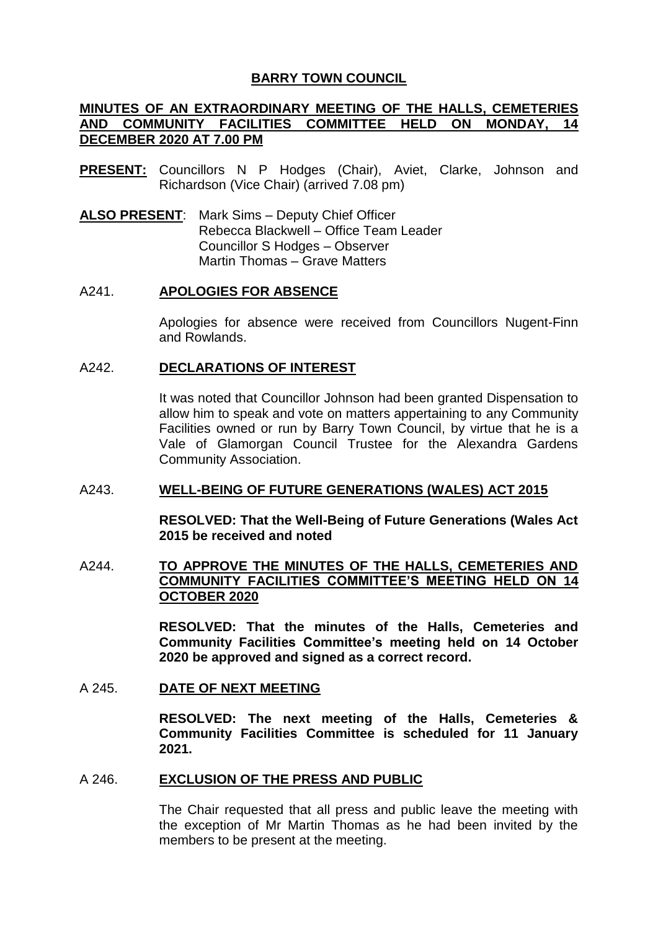# **BARRY TOWN COUNCIL**

# **MINUTES OF AN EXTRAORDINARY MEETING OF THE HALLS, CEMETERIES AND COMMUNITY FACILITIES COMMITTEE HELD ON MONDAY, 14 DECEMBER 2020 AT 7.00 PM**

- **PRESENT:** Councillors N P Hodges (Chair), Aviet, Clarke, Johnson and Richardson (Vice Chair) (arrived 7.08 pm)
- **ALSO PRESENT**: Mark Sims Deputy Chief Officer Rebecca Blackwell – Office Team Leader Councillor S Hodges – Observer Martin Thomas – Grave Matters

### A241. **APOLOGIES FOR ABSENCE**

Apologies for absence were received from Councillors Nugent-Finn and Rowlands.

### A242. **DECLARATIONS OF INTEREST**

It was noted that Councillor Johnson had been granted Dispensation to allow him to speak and vote on matters appertaining to any Community Facilities owned or run by Barry Town Council, by virtue that he is a Vale of Glamorgan Council Trustee for the Alexandra Gardens Community Association.

### A243. **WELL-BEING OF FUTURE GENERATIONS (WALES) ACT 2015**

**RESOLVED: That the Well-Being of Future Generations (Wales Act 2015 be received and noted**

## A244. **TO APPROVE THE MINUTES OF THE HALLS, CEMETERIES AND COMMUNITY FACILITIES COMMITTEE'S MEETING HELD ON 14 OCTOBER 2020**

**RESOLVED: That the minutes of the Halls, Cemeteries and Community Facilities Committee's meeting held on 14 October 2020 be approved and signed as a correct record.**

### A 245. **DATE OF NEXT MEETING**

**RESOLVED: The next meeting of the Halls, Cemeteries & Community Facilities Committee is scheduled for 11 January 2021.**

### A 246. **EXCLUSION OF THE PRESS AND PUBLIC**

The Chair requested that all press and public leave the meeting with the exception of Mr Martin Thomas as he had been invited by the members to be present at the meeting.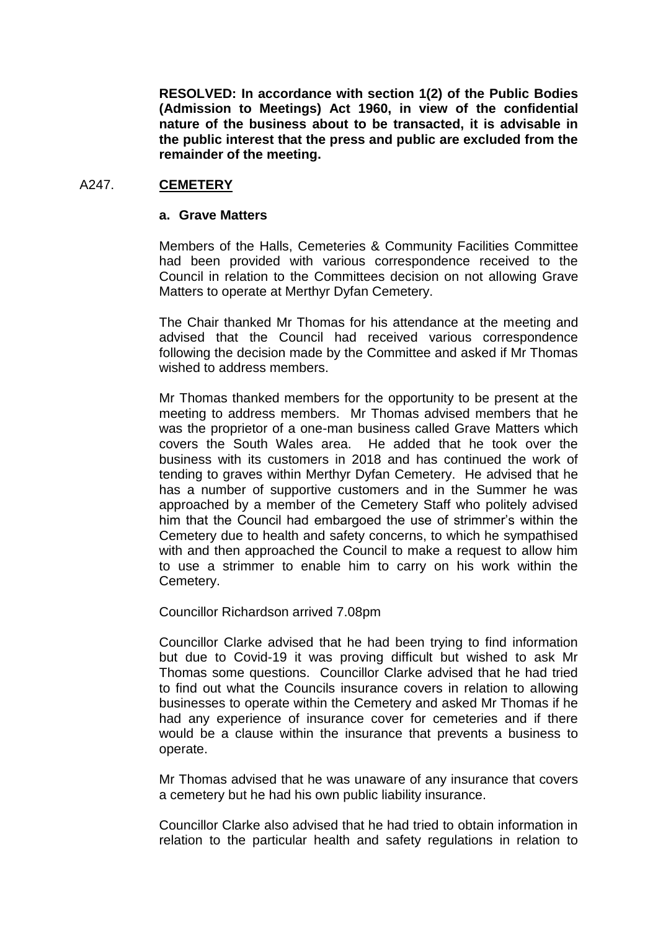**RESOLVED: In accordance with section 1(2) of the Public Bodies (Admission to Meetings) Act 1960, in view of the confidential nature of the business about to be transacted, it is advisable in the public interest that the press and public are excluded from the remainder of the meeting.**

## A247. **CEMETERY**

#### **a. Grave Matters**

Members of the Halls, Cemeteries & Community Facilities Committee had been provided with various correspondence received to the Council in relation to the Committees decision on not allowing Grave Matters to operate at Merthyr Dyfan Cemetery.

The Chair thanked Mr Thomas for his attendance at the meeting and advised that the Council had received various correspondence following the decision made by the Committee and asked if Mr Thomas wished to address members.

Mr Thomas thanked members for the opportunity to be present at the meeting to address members. Mr Thomas advised members that he was the proprietor of a one-man business called Grave Matters which covers the South Wales area. He added that he took over the business with its customers in 2018 and has continued the work of tending to graves within Merthyr Dyfan Cemetery. He advised that he has a number of supportive customers and in the Summer he was approached by a member of the Cemetery Staff who politely advised him that the Council had embargoed the use of strimmer's within the Cemetery due to health and safety concerns, to which he sympathised with and then approached the Council to make a request to allow him to use a strimmer to enable him to carry on his work within the Cemetery.

Councillor Richardson arrived 7.08pm

Councillor Clarke advised that he had been trying to find information but due to Covid-19 it was proving difficult but wished to ask Mr Thomas some questions. Councillor Clarke advised that he had tried to find out what the Councils insurance covers in relation to allowing businesses to operate within the Cemetery and asked Mr Thomas if he had any experience of insurance cover for cemeteries and if there would be a clause within the insurance that prevents a business to operate.

Mr Thomas advised that he was unaware of any insurance that covers a cemetery but he had his own public liability insurance.

Councillor Clarke also advised that he had tried to obtain information in relation to the particular health and safety regulations in relation to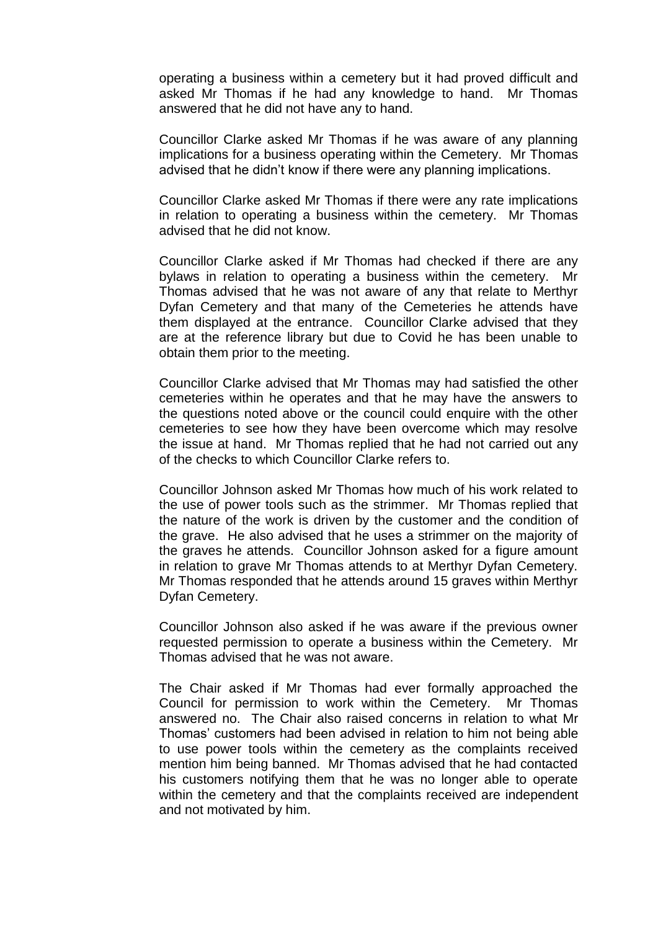operating a business within a cemetery but it had proved difficult and asked Mr Thomas if he had any knowledge to hand. Mr Thomas answered that he did not have any to hand.

Councillor Clarke asked Mr Thomas if he was aware of any planning implications for a business operating within the Cemetery. Mr Thomas advised that he didn't know if there were any planning implications.

Councillor Clarke asked Mr Thomas if there were any rate implications in relation to operating a business within the cemetery. Mr Thomas advised that he did not know.

Councillor Clarke asked if Mr Thomas had checked if there are any bylaws in relation to operating a business within the cemetery. Mr Thomas advised that he was not aware of any that relate to Merthyr Dyfan Cemetery and that many of the Cemeteries he attends have them displayed at the entrance. Councillor Clarke advised that they are at the reference library but due to Covid he has been unable to obtain them prior to the meeting.

Councillor Clarke advised that Mr Thomas may had satisfied the other cemeteries within he operates and that he may have the answers to the questions noted above or the council could enquire with the other cemeteries to see how they have been overcome which may resolve the issue at hand. Mr Thomas replied that he had not carried out any of the checks to which Councillor Clarke refers to.

Councillor Johnson asked Mr Thomas how much of his work related to the use of power tools such as the strimmer. Mr Thomas replied that the nature of the work is driven by the customer and the condition of the grave. He also advised that he uses a strimmer on the majority of the graves he attends. Councillor Johnson asked for a figure amount in relation to grave Mr Thomas attends to at Merthyr Dyfan Cemetery. Mr Thomas responded that he attends around 15 graves within Merthyr Dyfan Cemetery.

Councillor Johnson also asked if he was aware if the previous owner requested permission to operate a business within the Cemetery. Mr Thomas advised that he was not aware.

The Chair asked if Mr Thomas had ever formally approached the Council for permission to work within the Cemetery. Mr Thomas answered no. The Chair also raised concerns in relation to what Mr Thomas' customers had been advised in relation to him not being able to use power tools within the cemetery as the complaints received mention him being banned. Mr Thomas advised that he had contacted his customers notifying them that he was no longer able to operate within the cemetery and that the complaints received are independent and not motivated by him.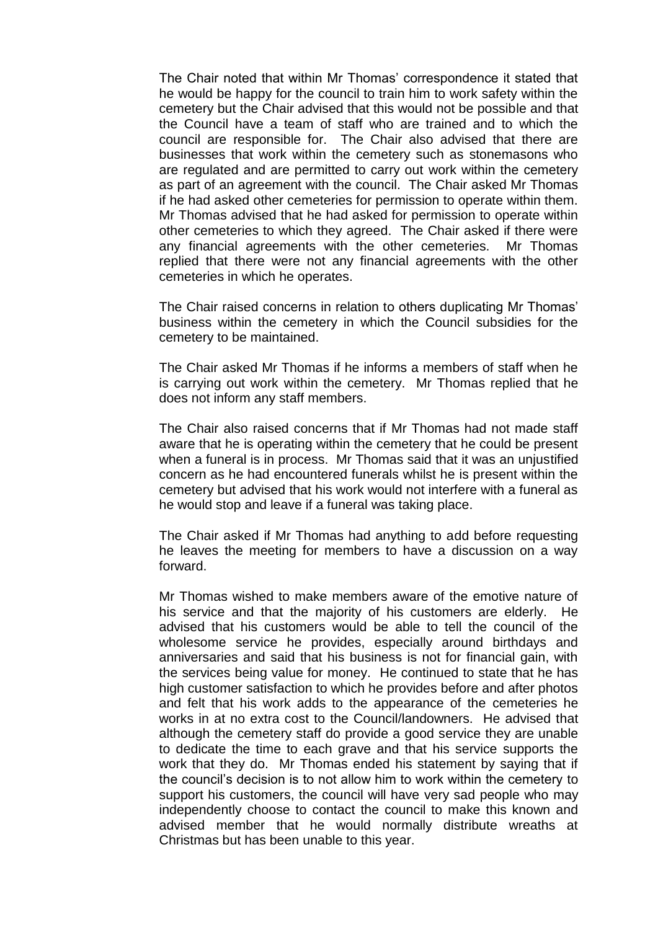The Chair noted that within Mr Thomas' correspondence it stated that he would be happy for the council to train him to work safety within the cemetery but the Chair advised that this would not be possible and that the Council have a team of staff who are trained and to which the council are responsible for. The Chair also advised that there are businesses that work within the cemetery such as stonemasons who are regulated and are permitted to carry out work within the cemetery as part of an agreement with the council. The Chair asked Mr Thomas if he had asked other cemeteries for permission to operate within them. Mr Thomas advised that he had asked for permission to operate within other cemeteries to which they agreed. The Chair asked if there were any financial agreements with the other cemeteries. Mr Thomas replied that there were not any financial agreements with the other cemeteries in which he operates.

The Chair raised concerns in relation to others duplicating Mr Thomas' business within the cemetery in which the Council subsidies for the cemetery to be maintained.

The Chair asked Mr Thomas if he informs a members of staff when he is carrying out work within the cemetery. Mr Thomas replied that he does not inform any staff members.

The Chair also raised concerns that if Mr Thomas had not made staff aware that he is operating within the cemetery that he could be present when a funeral is in process. Mr Thomas said that it was an unjustified concern as he had encountered funerals whilst he is present within the cemetery but advised that his work would not interfere with a funeral as he would stop and leave if a funeral was taking place.

The Chair asked if Mr Thomas had anything to add before requesting he leaves the meeting for members to have a discussion on a way forward.

Mr Thomas wished to make members aware of the emotive nature of his service and that the majority of his customers are elderly. He advised that his customers would be able to tell the council of the wholesome service he provides, especially around birthdays and anniversaries and said that his business is not for financial gain, with the services being value for money. He continued to state that he has high customer satisfaction to which he provides before and after photos and felt that his work adds to the appearance of the cemeteries he works in at no extra cost to the Council/landowners. He advised that although the cemetery staff do provide a good service they are unable to dedicate the time to each grave and that his service supports the work that they do. Mr Thomas ended his statement by saying that if the council's decision is to not allow him to work within the cemetery to support his customers, the council will have very sad people who may independently choose to contact the council to make this known and advised member that he would normally distribute wreaths at Christmas but has been unable to this year.